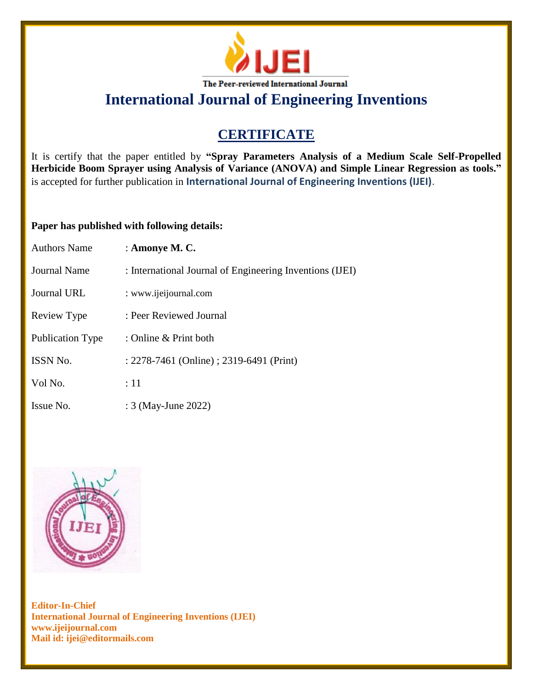

## **CERTIFICATE**

It is certify that the paper entitled by **"Spray Parameters Analysis of a Medium Scale Self-Propelled Herbicide Boom Sprayer using Analysis of Variance (ANOVA) and Simple Linear Regression as tools."** is accepted for further publication in **International Journal of Engineering Inventions (IJEI)**.

### **Paper has published with following details:**

| <b>Authors Name</b>     | : Amonye M. C.                                           |
|-------------------------|----------------------------------------------------------|
| Journal Name            | : International Journal of Engineering Inventions (IJEI) |
| <b>Journal URL</b>      | : www.ijeijournal.com                                    |
| Review Type             | : Peer Reviewed Journal                                  |
| <b>Publication Type</b> | : Online $&$ Print both                                  |
| <b>ISSN No.</b>         | : 2278-7461 (Online) ; 2319-6491 (Print)                 |
| Vol No.                 | :11                                                      |
| Issue No.               | : 3 (May-June 2022)                                      |

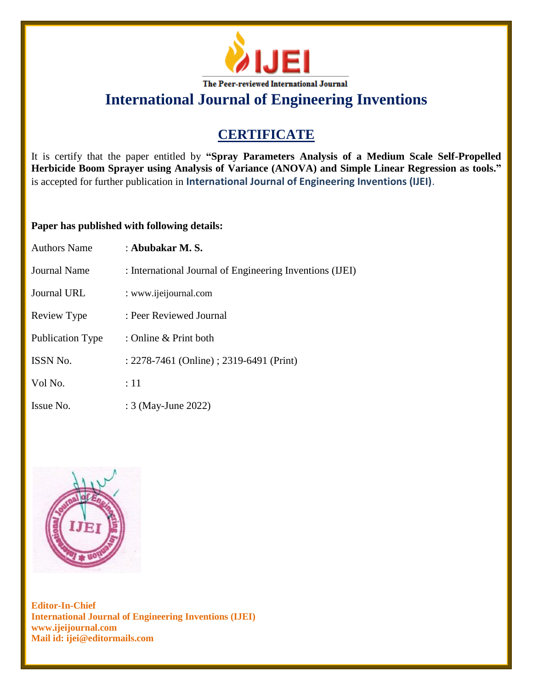

## **CERTIFICATE**

It is certify that the paper entitled by **"Spray Parameters Analysis of a Medium Scale Self-Propelled Herbicide Boom Sprayer using Analysis of Variance (ANOVA) and Simple Linear Regression as tools."** is accepted for further publication in **International Journal of Engineering Inventions (IJEI)**.

### **Paper has published with following details:**

| <b>Authors Name</b>     | : Abubakar M.S.                                          |
|-------------------------|----------------------------------------------------------|
| Journal Name            | : International Journal of Engineering Inventions (IJEI) |
| <b>Journal URL</b>      | : www.ijeijournal.com                                    |
| Review Type             | : Peer Reviewed Journal                                  |
| <b>Publication Type</b> | : Online $&$ Print both                                  |
| <b>ISSN No.</b>         | : 2278-7461 (Online) ; 2319-6491 (Print)                 |
| Vol No.                 | $\div 11$                                                |
| Issue No.               | : 3 (May-June 2022)                                      |

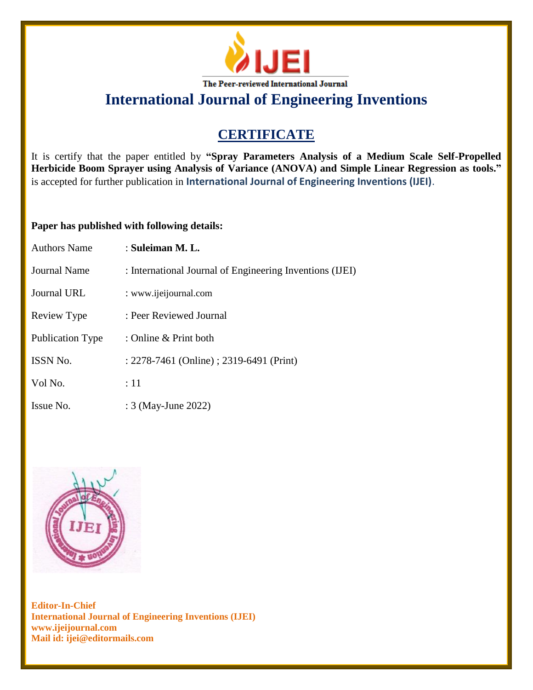

## **CERTIFICATE**

It is certify that the paper entitled by **"Spray Parameters Analysis of a Medium Scale Self-Propelled Herbicide Boom Sprayer using Analysis of Variance (ANOVA) and Simple Linear Regression as tools."** is accepted for further publication in **International Journal of Engineering Inventions (IJEI)**.

### **Paper has published with following details:**

| <b>Authors Name</b> | : Suleiman M. L.                                         |
|---------------------|----------------------------------------------------------|
| Journal Name        | : International Journal of Engineering Inventions (IJEI) |
| <b>Journal URL</b>  | : www.ijeijournal.com                                    |
| Review Type         | : Peer Reviewed Journal                                  |
| Publication Type    | : Online $&$ Print both                                  |
| <b>ISSN No.</b>     | : 2278-7461 (Online) ; 2319-6491 (Print)                 |
| Vol No.             | $\div 11$                                                |
| Issue No.           | : 3 (May-June 2022)                                      |

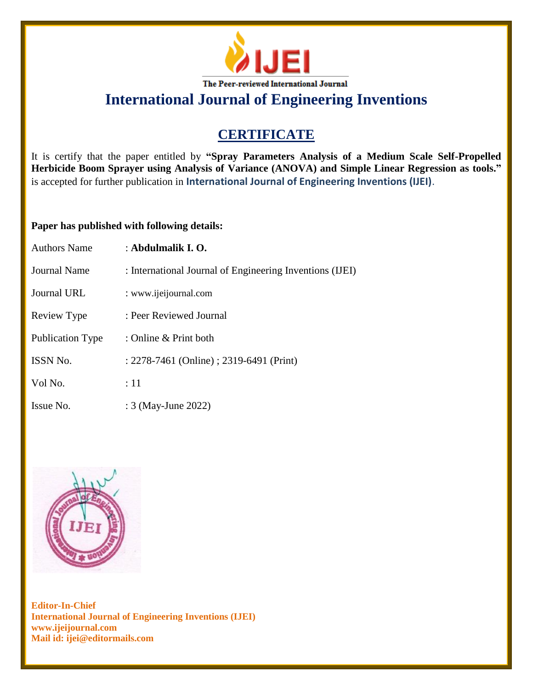

## **CERTIFICATE**

It is certify that the paper entitled by **"Spray Parameters Analysis of a Medium Scale Self-Propelled Herbicide Boom Sprayer using Analysis of Variance (ANOVA) and Simple Linear Regression as tools."** is accepted for further publication in **International Journal of Engineering Inventions (IJEI)**.

### **Paper has published with following details:**

| <b>Authors Name</b>     | : Abdulmalik I.O.                                        |
|-------------------------|----------------------------------------------------------|
| Journal Name            | : International Journal of Engineering Inventions (IJEI) |
| Journal URL             | : www.ijeijournal.com                                    |
| Review Type             | : Peer Reviewed Journal                                  |
| <b>Publication Type</b> | : Online $&$ Print both                                  |
| <b>ISSN No.</b>         | : 2278-7461 (Online) ; 2319-6491 (Print)                 |
| Vol No.                 | :11                                                      |
| Issue No.               | : 3 (May-June 2022)                                      |

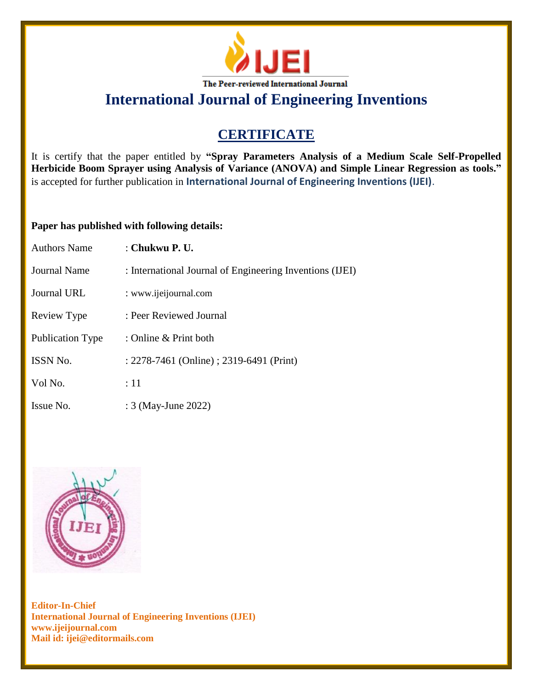

## **CERTIFICATE**

It is certify that the paper entitled by **"Spray Parameters Analysis of a Medium Scale Self-Propelled Herbicide Boom Sprayer using Analysis of Variance (ANOVA) and Simple Linear Regression as tools."** is accepted for further publication in **International Journal of Engineering Inventions (IJEI)**.

### **Paper has published with following details:**

| <b>Authors Name</b> | : Chukwu P. U.                                           |
|---------------------|----------------------------------------------------------|
| Journal Name        | : International Journal of Engineering Inventions (IJEI) |
| <b>Journal URL</b>  | : www.ijeijournal.com                                    |
| Review Type         | : Peer Reviewed Journal                                  |
| Publication Type    | : Online $&$ Print both                                  |
| <b>ISSN No.</b>     | : 2278-7461 (Online) ; 2319-6491 (Print)                 |
| Vol No.             | $\div 11$                                                |
| Issue No.           | : 3 (May-June 2022)                                      |

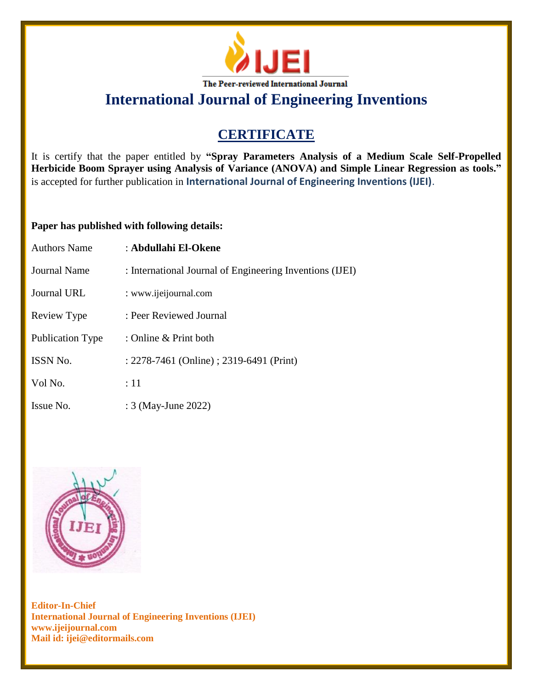

## **CERTIFICATE**

It is certify that the paper entitled by **"Spray Parameters Analysis of a Medium Scale Self-Propelled Herbicide Boom Sprayer using Analysis of Variance (ANOVA) and Simple Linear Regression as tools."** is accepted for further publication in **International Journal of Engineering Inventions (IJEI)**.

### **Paper has published with following details:**

| <b>Authors Name</b>     | : Abdullahi El-Okene                                     |
|-------------------------|----------------------------------------------------------|
| Journal Name            | : International Journal of Engineering Inventions (IJEI) |
| Journal URL             | : www.ijeijournal.com                                    |
| Review Type             | : Peer Reviewed Journal                                  |
| <b>Publication Type</b> | : Online & Print both                                    |
| ISSN No.                | : 2278-7461 (Online) ; 2319-6491 (Print)                 |
| Vol No.                 | :11                                                      |
| Issue No.               | : 3 (May-June 2022)                                      |

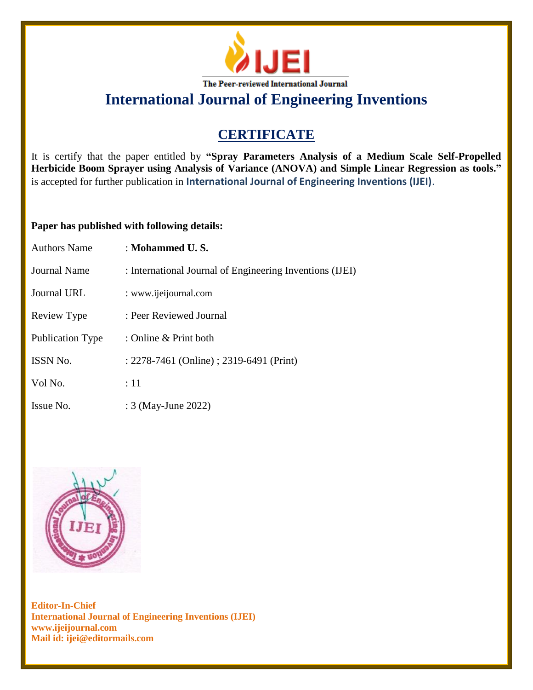

## **CERTIFICATE**

It is certify that the paper entitled by **"Spray Parameters Analysis of a Medium Scale Self-Propelled Herbicide Boom Sprayer using Analysis of Variance (ANOVA) and Simple Linear Regression as tools."** is accepted for further publication in **International Journal of Engineering Inventions (IJEI)**.

### **Paper has published with following details:**

| Authors Name        | : Mohammed U.S.                                          |
|---------------------|----------------------------------------------------------|
| <b>Journal Name</b> | : International Journal of Engineering Inventions (IJEI) |
| Journal URL         | : www.ijeijournal.com                                    |
| Review Type         | : Peer Reviewed Journal                                  |
| Publication Type    | : Online $&$ Print both                                  |
| <b>ISSN No.</b>     | : 2278-7461 (Online) ; 2319-6491 (Print)                 |
| Vol No.             | $\div 11$                                                |
| Issue No.           | : 3 (May-June 2022)                                      |

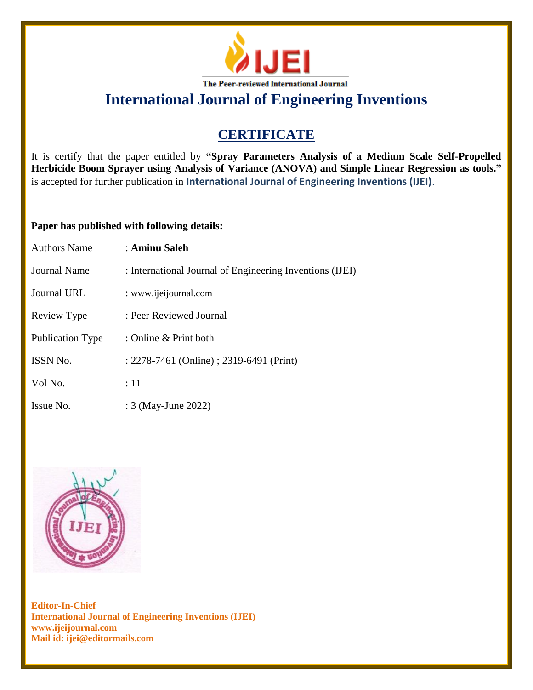

## **CERTIFICATE**

It is certify that the paper entitled by **"Spray Parameters Analysis of a Medium Scale Self-Propelled Herbicide Boom Sprayer using Analysis of Variance (ANOVA) and Simple Linear Regression as tools."** is accepted for further publication in **International Journal of Engineering Inventions (IJEI)**.

### **Paper has published with following details:**

| <b>Authors Name</b> | : Aminu Saleh                                            |
|---------------------|----------------------------------------------------------|
| Journal Name        | : International Journal of Engineering Inventions (IJEI) |
| Journal URL         | : www.ijeijournal.com                                    |
| Review Type         | : Peer Reviewed Journal                                  |
| Publication Type    | : Online $&$ Print both                                  |
| <b>ISSN No.</b>     | : 2278-7461 (Online) ; 2319-6491 (Print)                 |
| Vol No.             | $\div 11$                                                |
| Issue No.           | : 3 (May-June 2022)                                      |